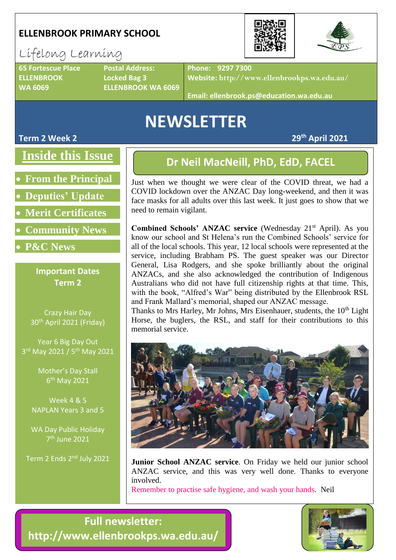#### **ELLENBROOK PRIMARY SCHOOL**

# Lifelong Learning

**65 Fortescue Place Postal Address: ELLENBROOK Locked Bag 3**

**WA 6069 ELLENBROOK WA 6069**

**Phone: 9297 7300**

**Website: http://www.ellenbrookps.wa.edu.au/**

**Email: ellenbrook.ps@education.wa.edu.au**

# **NEWSLETTER**

## **Inside this Issue**

- **From the Principal**
- **Deputies' Update**
- **Merit Certificates**
- **Community News**
- **P&C News**

#### **Important Dates Term 2**

Crazy Hair Day 30th April 2021 (Friday)

Year 6 Big Day Out 3<sup>rd</sup> May 2021 / 5<sup>th</sup> May 2021

> Mother's Day Stall 6<sup>th</sup> May 2021

Week 4 & 5 NAPLAN Years 3 and 5

WA Day Public Holiday 7 th June 2021

Term 2 Ends 2nd July 2021

### **Dr Neil MacNeill, PhD, EdD, FACEL**

Just when we thought we were clear of the COVID threat, we had a COVID lockdown over the ANZAC Day long-weekend, and then it was face masks for all adults over this last week. It just goes to show that we need to remain vigilant.

Combined Schools' ANZAC service (Wednesday 21<sup>st</sup> April). As you know our school and St Helena's run the Combined Schools' service for all of the local schools. This year, 12 local schools were represented at the service, including Brabham PS. The guest speaker was our Director General, Lisa Rodgers, and she spoke brilliantly about the original ANZACs, and she also acknowledged the contribution of Indigenous Australians who did not have full citizenship rights at that time. This, with the book, "Alfred's War" being distributed by the Ellenbrook RSL and Frank Mallard's memorial, shaped our ANZAC message.

Thanks to Mrs Harley, Mr Johns, Mrs Eisenhauer, students, the  $10<sup>th</sup>$  Light Horse, the buglers, the RSL, and staff for their contributions to this memorial service.



**Junior School ANZAC service**. On Friday we held our junior school ANZAC service, and this was very well done. Thanks to everyone involved.

Remember to practise safe hygiene, and wash your hands. Neil

**Full newsletter: http://www.ellenbrookps.wa.edu.au/**





**Term 2 Week 2 29th April 2021**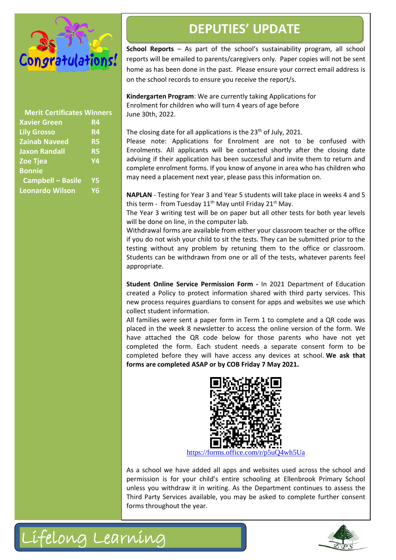

| <b>Merit Certificates Winners</b> |                |
|-----------------------------------|----------------|
| <b>Xavier Green</b>               | <b>R4</b>      |
| <b>Lily Grosso</b>                | R <sub>4</sub> |
| <b>Zainab Naveed</b>              | <b>R5</b>      |
| <b>Jaxon Randall</b>              | <b>R5</b>      |
| <b>Zoe Tjea</b>                   | Y4             |
| <b>Bonnie</b>                     |                |
| <b>Campbell - Basile</b>          | <b>Y5</b>      |
| <b>Leonardo Wilson</b>            | <b>Y6</b>      |
|                                   |                |

## **DEPUTIES' UPDATE**

**School Reports** – As part of the school's sustainability program, all school reports will be emailed to parents/caregivers only. Paper copies will not be sent home as has been done in the past. Please ensure your correct email address is on the school records to ensure you receive the report/s.

**Kindergarten Program**: We are currently taking Applications for Enrolment for children who will turn 4 years of age before June 30th, 2022.

The closing date for all applications is the 23<sup>th</sup> of July, 2021.

Please note: Applications for Enrolment are not to be confused with Enrolments. All applicants will be contacted shortly after the closing date advising if their application has been successful and invite them to return and complete enrolment forms. If you know of anyone in area who has children who may need a placement next year, please pass this information on.

**NAPLAN** - Testing for Year 3 and Year 5 students will take place in weeks 4 and 5 this term - from Tuesday  $11<sup>th</sup>$  May until Friday  $21<sup>st</sup>$  May.

The Year 3 writing test will be on paper but all other tests for both year levels will be done on line, in the computer lab.

Withdrawal forms are available from either your classroom teacher or the office if you do not wish your child to sit the tests. They can be submitted prior to the testing without any problem by retuning them to the office or classroom. Students can be withdrawn from one or all of the tests, whatever parents feel appropriate.

**Student Online Service Permission Form -** In 2021 Department of Education created a Policy to protect information shared with third party services. This new process requires guardians to consent for apps and websites we use which collect student information.

All families were sent a paper form in Term 1 to complete and a QR code was placed in the week 8 newsletter to access the online version of the form. We have attached the QR code below for those parents who have not yet completed the form. Each student needs a separate consent form to be completed before they will have access any devices at school. **We ask that forms are completed ASAP or by COB Friday 7 May 2021.**



[https://forms.office.com/r/p5uQ4wh5Ua](https://aus01.safelinks.protection.outlook.com/?url=https%3A%2F%2Fforms.office.com%2Fr%2Fp5uQ4wh5Ua&data=04%7C01%7CJodie.Koch%40education.wa.edu.au%7C83a9d79e10694ac887e208d9092c6da7%7Ce08016f9d1fd4cbb83b0b76eb4361627%7C0%7C0%7C637550908679048507%7CUnknown%7CTWFpbGZsb3d8eyJWIjoiMC4wLjAwMDAiLCJQIjoiV2luMzIiLCJBTiI6Ik1haWwiLCJXVCI6Mn0%3D%7C1000&sdata=FyvHL7OxJBULDc93H3Tn0ab8Td1iRTIJHqJav960taU%3D&reserved=0)

As a school we have added all apps and websites used across the school and permission is for your child's entire schooling at Ellenbrook Primary School unless you withdraw it in writing. As the Department continues to assess the Third Party Services available, you may be asked to complete further consent forms throughout the year.



Lifelong Learning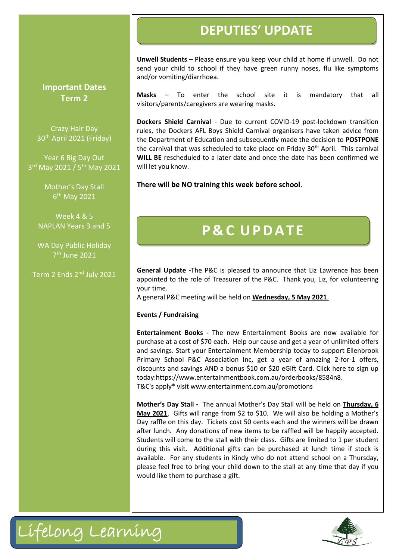## **DEPUTIES' UPDATE**

**Unwell Students** – Please ensure you keep your child at home if unwell. Do not send your child to school if they have green runny noses, flu like symptoms and/or vomiting/diarrhoea.

**Masks** – To enter the school site it is mandatory that all visitors/parents/caregivers are wearing masks.

**Dockers Shield Carnival** - Due to current COVID-19 post-lockdown transition rules, the Dockers AFL Boys Shield Carnival organisers have taken advice from the Department of Education and subsequently made the decision to **POSTPONE** the carnival that was scheduled to take place on Friday 30<sup>th</sup> April. This carnival **WILL BE** rescheduled to a later date and once the date has been confirmed we will let you know.

**There will be NO training this week before school**.

# **P & C U PD A TE**

**General Update -**The P&C is pleased to announce that Liz Lawrence has been appointed to the role of Treasurer of the P&C. Thank you, Liz, for volunteering your time.

A general P&C meeting will be held on **Wednesday, 5 May 2021**.

**Events / Fundraising**

**Entertainment Books -** The new Entertainment Books are now available for purchase at a cost of \$70 each. Help our cause and get a year of unlimited offers and savings. Start your Entertainment Membership today to support Ellenbrook Primary School P&C Association Inc, get a year of amazing 2-for-1 offers, discounts and savings AND a bonus \$10 or \$20 eGift Card. Click here to sign up today[:https://www.entertainmentbook.com.au/orderbooks/8584n8.](https://www.entertainmentbook.com.au/orderbooks/8584n8) T&C's apply\* visi[t www.entertainment.com.au/promotions](http://www.entertainment.com.au/promotions)

**Mother's Day Stall -** The annual Mother's Day Stall will be held on **Thursday, 6 May 2021**. Gifts will range from \$2 to \$10. We will also be holding a Mother's Day raffle on this day. Tickets cost 50 cents each and the winners will be drawn after lunch. Any donations of new items to be raffled will be happily accepted. Students will come to the stall with their class. Gifts are limited to 1 per student during this visit. Additional gifts can be purchased at lunch time if stock is available. For any students in Kindy who do not attend school on a Thursday, please feel free to bring your child down to the stall at any time that day if you would like them to purchase a gift.





**Important Dates Term 2**

Crazy Hair Day 30th April 2021 (Friday)

Year 6 Big Day Out 3<sup>rd</sup> May 2021 / 5<sup>th</sup> May 2021

> Mother's Day Stall 6<sup>th</sup> May 2021

Week 4 & 5 NAPLAN Years 3 and 5

WA Day Public Holiday 7 th June 2021

Term 2 Ends 2<sup>nd</sup> July 2021